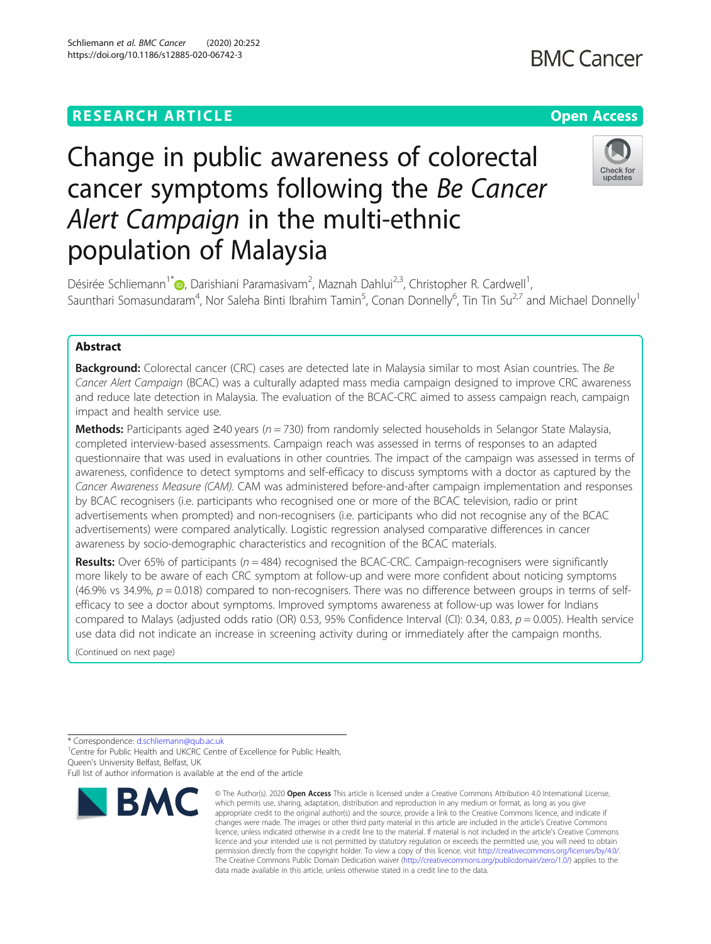## **RESEARCH ARTICLE Example 2014 12:30 The Contract of Contract ACCESS**

# Change in public awareness of colorectal cancer symptoms following the Be Cancer Alert Campaign in the multi-ethnic population of Malaysia

Désirée Schliemann<sup>1\*</sup> (**p**[,](https://orcid.org/0000-0002-8746-3002) Darishiani Paramasivam<sup>2</sup>, Maznah Dahlui<sup>2,3</sup>, Christopher R. Cardwell<sup>1</sup> , Saunthari Somasundaram<sup>4</sup>, Nor Saleha Binti Ibrahim Tamin<sup>5</sup>, Conan Donnelly<sup>6</sup>, Tin Tin Su<sup>2,7</sup> and Michael Donnelly<sup>1</sup>

### Abstract

**Background:** Colorectal cancer (CRC) cases are detected late in Malaysia similar to most Asian countries. The Be Cancer Alert Campaign (BCAC) was a culturally adapted mass media campaign designed to improve CRC awareness and reduce late detection in Malaysia. The evaluation of the BCAC-CRC aimed to assess campaign reach, campaign impact and health service use.

**Methods:** Participants aged ≥40 years ( $n = 730$ ) from randomly selected households in Selangor State Malaysia, completed interview-based assessments. Campaign reach was assessed in terms of responses to an adapted questionnaire that was used in evaluations in other countries. The impact of the campaign was assessed in terms of awareness, confidence to detect symptoms and self-efficacy to discuss symptoms with a doctor as captured by the Cancer Awareness Measure (CAM). CAM was administered before-and-after campaign implementation and responses by BCAC recognisers (i.e. participants who recognised one or more of the BCAC television, radio or print advertisements when prompted) and non-recognisers (i.e. participants who did not recognise any of the BCAC advertisements) were compared analytically. Logistic regression analysed comparative differences in cancer awareness by socio-demographic characteristics and recognition of the BCAC materials.

**Results:** Over 65% of participants ( $n = 484$ ) recognised the BCAC-CRC. Campaign-recognisers were significantly more likely to be aware of each CRC symptom at follow-up and were more confident about noticing symptoms  $(46.9\% \text{ vs } 34.9\%, p = 0.018)$  compared to non-recognisers. There was no difference between groups in terms of selfefficacy to see a doctor about symptoms. Improved symptoms awareness at follow-up was lower for Indians compared to Malays (adjusted odds ratio (OR) 0.53, 95% Confidence Interval (CI): 0.34, 0.83,  $p = 0.005$ ). Health service use data did not indicate an increase in screening activity during or immediately after the campaign months.

(Continued on next page)

\* Correspondence: [d.schliemann@qub.ac.uk](mailto:d.schliemann@qub.ac.uk) <sup>1</sup>

<sup>1</sup> Centre for Public Health and UKCRC Centre of Excellence for Public Health, Queen's University Belfast, Belfast, UK



<sup>©</sup> The Author(s), 2020 **Open Access** This article is licensed under a Creative Commons Attribution 4.0 International License, which permits use, sharing, adaptation, distribution and reproduction in any medium or format, as long as you give appropriate credit to the original author(s) and the source, provide a link to the Creative Commons licence, and indicate if changes were made. The images or other third party material in this article are included in the article's Creative Commons licence, unless indicated otherwise in a credit line to the material. If material is not included in the article's Creative Commons licence and your intended use is not permitted by statutory regulation or exceeds the permitted use, you will need to obtain permission directly from the copyright holder. To view a copy of this licence, visit [http://creativecommons.org/licenses/by/4.0/.](http://creativecommons.org/licenses/by/4.0/) The Creative Commons Public Domain Dedication waiver [\(http://creativecommons.org/publicdomain/zero/1.0/](http://creativecommons.org/publicdomain/zero/1.0/)) applies to the data made available in this article, unless otherwise stated in a credit line to the data.



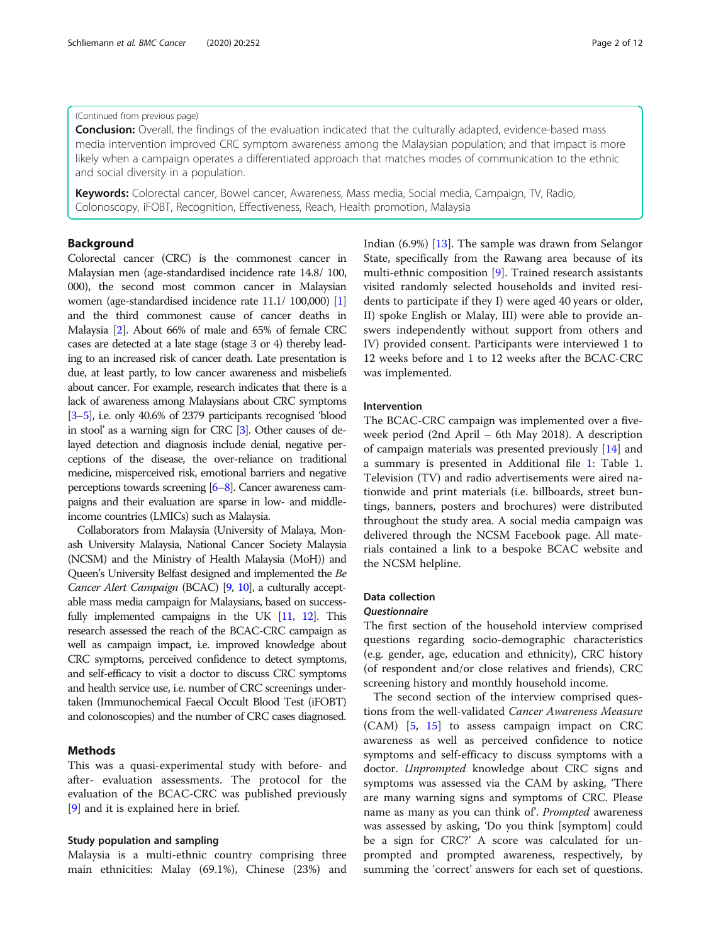#### (Continued from previous page)

**Conclusion:** Overall, the findings of the evaluation indicated that the culturally adapted, evidence-based mass media intervention improved CRC symptom awareness among the Malaysian population; and that impact is more likely when a campaign operates a differentiated approach that matches modes of communication to the ethnic and social diversity in a population.

Keywords: Colorectal cancer, Bowel cancer, Awareness, Mass media, Social media, Campaign, TV, Radio, Colonoscopy, iFOBT, Recognition, Effectiveness, Reach, Health promotion, Malaysia

#### Background

Colorectal cancer (CRC) is the commonest cancer in Malaysian men (age-standardised incidence rate 14.8/ 100, 000), the second most common cancer in Malaysian women (age-standardised incidence rate 11.1/ 100,000) [[1](#page-11-0)] and the third commonest cause of cancer deaths in Malaysia [[2\]](#page-11-0). About 66% of male and 65% of female CRC cases are detected at a late stage (stage 3 or 4) thereby leading to an increased risk of cancer death. Late presentation is due, at least partly, to low cancer awareness and misbeliefs about cancer. For example, research indicates that there is a lack of awareness among Malaysians about CRC symptoms [[3](#page-11-0)–[5](#page-11-0)], i.e. only 40.6% of 2379 participants recognised 'blood in stool' as a warning sign for CRC [\[3](#page-11-0)]. Other causes of delayed detection and diagnosis include denial, negative perceptions of the disease, the over-reliance on traditional medicine, misperceived risk, emotional barriers and negative perceptions towards screening [\[6](#page-11-0)–[8\]](#page-11-0). Cancer awareness campaigns and their evaluation are sparse in low- and middleincome countries (LMICs) such as Malaysia.

Collaborators from Malaysia (University of Malaya, Monash University Malaysia, National Cancer Society Malaysia (NCSM) and the Ministry of Health Malaysia (MoH)) and Queen's University Belfast designed and implemented the Be Cancer Alert Campaign (BCAC) [\[9](#page-11-0), [10](#page-11-0)], a culturally acceptable mass media campaign for Malaysians, based on successfully implemented campaigns in the UK [\[11](#page-11-0), [12](#page-11-0)]. This research assessed the reach of the BCAC-CRC campaign as well as campaign impact, i.e. improved knowledge about CRC symptoms, perceived confidence to detect symptoms, and self-efficacy to visit a doctor to discuss CRC symptoms and health service use, i.e. number of CRC screenings undertaken (Immunochemical Faecal Occult Blood Test (iFOBT) and colonoscopies) and the number of CRC cases diagnosed.

#### Methods

This was a quasi-experimental study with before- and after- evaluation assessments. The protocol for the evaluation of the BCAC-CRC was published previously [[9\]](#page-11-0) and it is explained here in brief.

#### Study population and sampling

Malaysia is a multi-ethnic country comprising three main ethnicities: Malay (69.1%), Chinese (23%) and Indian (6.9%) [\[13](#page-11-0)]. The sample was drawn from Selangor State, specifically from the Rawang area because of its multi-ethnic composition [\[9\]](#page-11-0). Trained research assistants visited randomly selected households and invited residents to participate if they I) were aged 40 years or older, II) spoke English or Malay, III) were able to provide answers independently without support from others and IV) provided consent. Participants were interviewed 1 to 12 weeks before and 1 to 12 weeks after the BCAC-CRC was implemented.

#### Intervention

The BCAC-CRC campaign was implemented over a fiveweek period (2nd April – 6th May 2018). A description of campaign materials was presented previously [\[14](#page-11-0)] and a summary is presented in Additional file [1](#page-10-0): Table 1. Television (TV) and radio advertisements were aired nationwide and print materials (i.e. billboards, street buntings, banners, posters and brochures) were distributed throughout the study area. A social media campaign was delivered through the NCSM Facebook page. All materials contained a link to a bespoke BCAC website and the NCSM helpline.

#### Data collection

#### **Ouestionnaire**

The first section of the household interview comprised questions regarding socio-demographic characteristics (e.g. gender, age, education and ethnicity), CRC history (of respondent and/or close relatives and friends), CRC screening history and monthly household income.

The second section of the interview comprised questions from the well-validated Cancer Awareness Measure (CAM) [[5](#page-11-0), [15\]](#page-11-0) to assess campaign impact on CRC awareness as well as perceived confidence to notice symptoms and self-efficacy to discuss symptoms with a doctor. *Unprompted* knowledge about CRC signs and symptoms was assessed via the CAM by asking, 'There are many warning signs and symptoms of CRC. Please name as many as you can think of. Prompted awareness was assessed by asking, 'Do you think [symptom] could be a sign for CRC?' A score was calculated for unprompted and prompted awareness, respectively, by summing the 'correct' answers for each set of questions.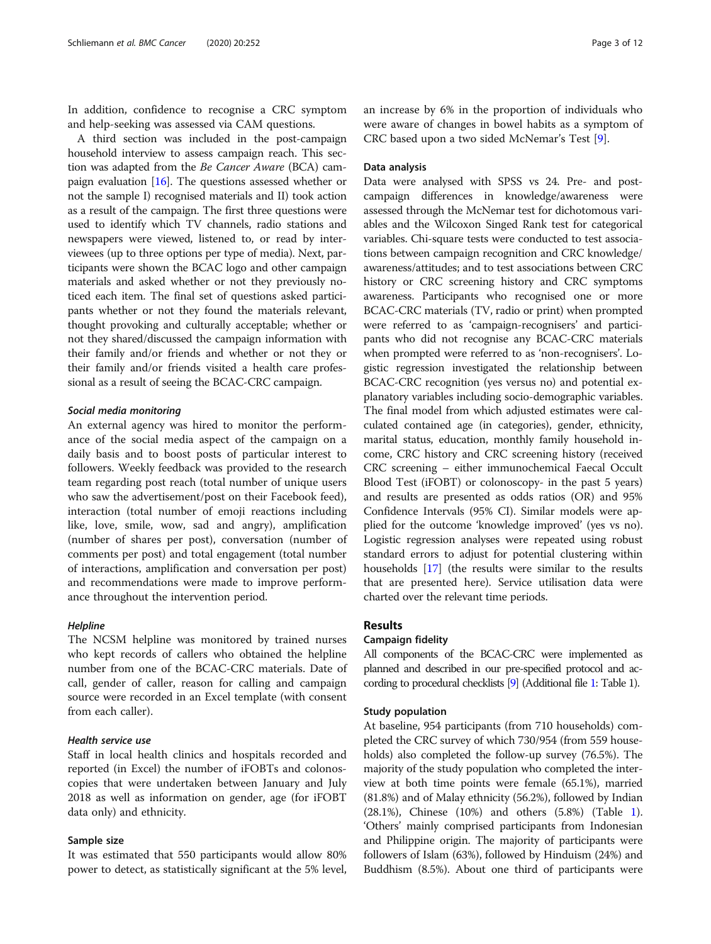In addition, confidence to recognise a CRC symptom and help-seeking was assessed via CAM questions.

A third section was included in the post-campaign household interview to assess campaign reach. This section was adapted from the Be Cancer Aware (BCA) campaign evaluation [[16](#page-11-0)]. The questions assessed whether or not the sample I) recognised materials and II) took action as a result of the campaign. The first three questions were used to identify which TV channels, radio stations and newspapers were viewed, listened to, or read by interviewees (up to three options per type of media). Next, participants were shown the BCAC logo and other campaign materials and asked whether or not they previously noticed each item. The final set of questions asked participants whether or not they found the materials relevant, thought provoking and culturally acceptable; whether or not they shared/discussed the campaign information with their family and/or friends and whether or not they or their family and/or friends visited a health care professional as a result of seeing the BCAC-CRC campaign.

#### Social media monitoring

An external agency was hired to monitor the performance of the social media aspect of the campaign on a daily basis and to boost posts of particular interest to followers. Weekly feedback was provided to the research team regarding post reach (total number of unique users who saw the advertisement/post on their Facebook feed), interaction (total number of emoji reactions including like, love, smile, wow, sad and angry), amplification (number of shares per post), conversation (number of comments per post) and total engagement (total number of interactions, amplification and conversation per post) and recommendations were made to improve performance throughout the intervention period.

#### **Helpline**

The NCSM helpline was monitored by trained nurses who kept records of callers who obtained the helpline number from one of the BCAC-CRC materials. Date of call, gender of caller, reason for calling and campaign source were recorded in an Excel template (with consent from each caller).

#### Health service use

Staff in local health clinics and hospitals recorded and reported (in Excel) the number of iFOBTs and colonoscopies that were undertaken between January and July 2018 as well as information on gender, age (for iFOBT data only) and ethnicity.

#### Sample size

It was estimated that 550 participants would allow 80% power to detect, as statistically significant at the 5% level, an increase by 6% in the proportion of individuals who were aware of changes in bowel habits as a symptom of CRC based upon a two sided McNemar's Test [[9\]](#page-11-0).

#### Data analysis

Data were analysed with SPSS vs 24. Pre- and postcampaign differences in knowledge/awareness were assessed through the McNemar test for dichotomous variables and the Wilcoxon Singed Rank test for categorical variables. Chi-square tests were conducted to test associations between campaign recognition and CRC knowledge/ awareness/attitudes; and to test associations between CRC history or CRC screening history and CRC symptoms awareness. Participants who recognised one or more BCAC-CRC materials (TV, radio or print) when prompted were referred to as 'campaign-recognisers' and participants who did not recognise any BCAC-CRC materials when prompted were referred to as 'non-recognisers'. Logistic regression investigated the relationship between BCAC-CRC recognition (yes versus no) and potential explanatory variables including socio-demographic variables. The final model from which adjusted estimates were calculated contained age (in categories), gender, ethnicity, marital status, education, monthly family household income, CRC history and CRC screening history (received CRC screening – either immunochemical Faecal Occult Blood Test (iFOBT) or colonoscopy- in the past 5 years) and results are presented as odds ratios (OR) and 95% Confidence Intervals (95% CI). Similar models were applied for the outcome 'knowledge improved' (yes vs no). Logistic regression analyses were repeated using robust standard errors to adjust for potential clustering within households [[17](#page-11-0)] (the results were similar to the results that are presented here). Service utilisation data were charted over the relevant time periods.

#### Results

#### Campaign fidelity

All components of the BCAC-CRC were implemented as planned and described in our pre-specified protocol and according to procedural checklists [\[9](#page-11-0)] (Additional file [1](#page-10-0): Table 1).

#### Study population

At baseline, 954 participants (from 710 households) completed the CRC survey of which 730/954 (from 559 households) also completed the follow-up survey (76.5%). The majority of the study population who completed the interview at both time points were female (65.1%), married (81.8%) and of Malay ethnicity (56.2%), followed by Indian (28.1%), Chinese (10%) and others (5.8%) (Table [1](#page-3-0)). 'Others' mainly comprised participants from Indonesian and Philippine origin. The majority of participants were followers of Islam (63%), followed by Hinduism (24%) and Buddhism (8.5%). About one third of participants were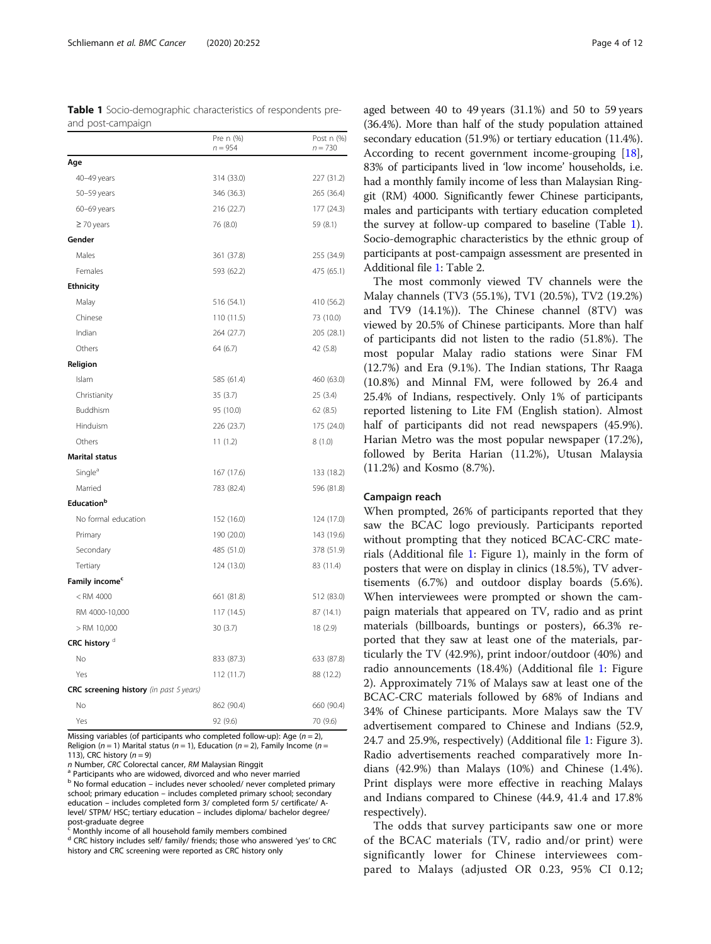<span id="page-3-0"></span>

| <b>Table 1</b> Socio-demographic characteristics of respondents pre- |  |  |
|----------------------------------------------------------------------|--|--|
| and post-campaign                                                    |  |  |

|                                         | Pre n (%)<br>$n = 954$ | Post n (%)<br>$n = 730$ |
|-----------------------------------------|------------------------|-------------------------|
| Age                                     |                        |                         |
| 40-49 years                             | 314 (33.0)             | 227 (31.2)              |
| 50-59 years                             | 346 (36.3)             | 265 (36.4)              |
| 60-69 years                             | 216 (22.7)             | 177 (24.3)              |
| $\geq$ 70 years                         | 76 (8.0)               | 59 (8.1)                |
| Gender                                  |                        |                         |
| Males                                   | 361 (37.8)             | 255 (34.9)              |
| Females                                 | 593 (62.2)             | 475 (65.1)              |
| <b>Ethnicity</b>                        |                        |                         |
| Malay                                   | 516 (54.1)             | 410 (56.2)              |
| Chinese                                 | 110 (11.5)             | 73 (10.0)               |
| Indian                                  | 264 (27.7)             | 205 (28.1)              |
| Others                                  | 64 (6.7)               | 42 (5.8)                |
| Religion                                |                        |                         |
| Islam                                   | 585 (61.4)             | 460 (63.0)              |
| Christianity                            | 35 (3.7)               | 25 (3.4)                |
| Buddhism                                | 95 (10.0)              | 62 (8.5)                |
| Hinduism                                | 226 (23.7)             | 175 (24.0)              |
| Others                                  | 11(1.2)                | 8(1.0)                  |
| <b>Marital status</b>                   |                        |                         |
| Single <sup>a</sup>                     | 167 (17.6)             | 133 (18.2)              |
| Married                                 | 783 (82.4)             | 596 (81.8)              |
| Education <sup>b</sup>                  |                        |                         |
| No formal education                     | 152 (16.0)             | 124 (17.0)              |
| Primary                                 | 190 (20.0)             | 143 (19.6)              |
| Secondary                               | 485 (51.0)             | 378 (51.9)              |
| Tertiary                                | 124 (13.0)             | 83 (11.4)               |
| Family income <sup>c</sup>              |                        |                         |
| $<$ RM 4000                             | 661 (81.8)             | 512 (83.0)              |
| RM 4000-10,000                          | 117 (14.5)             | 87 (14.1)               |
| $>$ RM 10,000                           | 30(3.7)                | 18 (2.9)                |
| CRC history <sup>d</sup>                |                        |                         |
| No                                      | 833 (87.3)             | 633 (87.8)              |
| Yes                                     | 112 (11.7)             | 88 (12.2)               |
| CRC screening history (in past 5 years) |                        |                         |
| No                                      | 862 (90.4)             | 660 (90.4)              |
| Yes                                     | 92 (9.6)               | 70 (9.6)                |

Missing variables (of participants who completed follow-up): Age ( $n = 2$ ), Religion ( $n = 1$ ) Marital status ( $n = 1$ ), Education ( $n = 2$ ), Family Income ( $n = 1$ ) 113), CRC history ( $n = 9$ )<br>
n Number, CRC Colorectal cancer, RM Malaysian Ringgit

<sup>a</sup> Participants who are widowed, divorced and who never married

<sup>b</sup> No formal education – includes never schooled/ never completed primary school; primary education – includes completed primary school; secondary education – includes completed form 3/ completed form 5/ certificate/ Alevel/ STPM/ HSC; tertiary education – includes diploma/ bachelor degree/ post-graduate degree

Monthly income of all household family members combined

<sup>d</sup> CRC history includes self/ family/ friends; those who answered 'yes' to CRC history and CRC screening were reported as CRC history only

aged between 40 to 49 years (31.1%) and 50 to 59 years (36.4%). More than half of the study population attained secondary education (51.9%) or tertiary education (11.4%). According to recent government income-grouping [[18](#page-11-0)], 83% of participants lived in 'low income' households, i.e. had a monthly family income of less than Malaysian Ringgit (RM) 4000. Significantly fewer Chinese participants, males and participants with tertiary education completed the survey at follow-up compared to baseline (Table 1). Socio-demographic characteristics by the ethnic group of participants at post-campaign assessment are presented in Additional file [1](#page-10-0): Table 2.

The most commonly viewed TV channels were the Malay channels (TV3 (55.1%), TV1 (20.5%), TV2 (19.2%) and TV9 (14.1%)). The Chinese channel (8TV) was viewed by 20.5% of Chinese participants. More than half of participants did not listen to the radio (51.8%). The most popular Malay radio stations were Sinar FM (12.7%) and Era (9.1%). The Indian stations, Thr Raaga (10.8%) and Minnal FM, were followed by 26.4 and 25.4% of Indians, respectively. Only 1% of participants reported listening to Lite FM (English station). Almost half of participants did not read newspapers (45.9%). Harian Metro was the most popular newspaper (17.2%), followed by Berita Harian (11.2%), Utusan Malaysia (11.2%) and Kosmo (8.7%).

#### Campaign reach

When prompted, 26% of participants reported that they saw the BCAC logo previously. Participants reported without prompting that they noticed BCAC-CRC materials (Additional file [1:](#page-10-0) Figure 1), mainly in the form of posters that were on display in clinics (18.5%), TV advertisements (6.7%) and outdoor display boards (5.6%). When interviewees were prompted or shown the campaign materials that appeared on TV, radio and as print materials (billboards, buntings or posters), 66.3% reported that they saw at least one of the materials, particularly the TV (42.9%), print indoor/outdoor (40%) and radio announcements (18.4%) (Additional file [1](#page-10-0): Figure 2). Approximately 71% of Malays saw at least one of the BCAC-CRC materials followed by 68% of Indians and 34% of Chinese participants. More Malays saw the TV advertisement compared to Chinese and Indians (52.9, 24.7 and 25.9%, respectively) (Additional file [1](#page-10-0): Figure 3). Radio advertisements reached comparatively more Indians (42.9%) than Malays (10%) and Chinese (1.4%). Print displays were more effective in reaching Malays and Indians compared to Chinese (44.9, 41.4 and 17.8% respectively).

The odds that survey participants saw one or more of the BCAC materials (TV, radio and/or print) were significantly lower for Chinese interviewees compared to Malays (adjusted OR 0.23, 95% CI 0.12;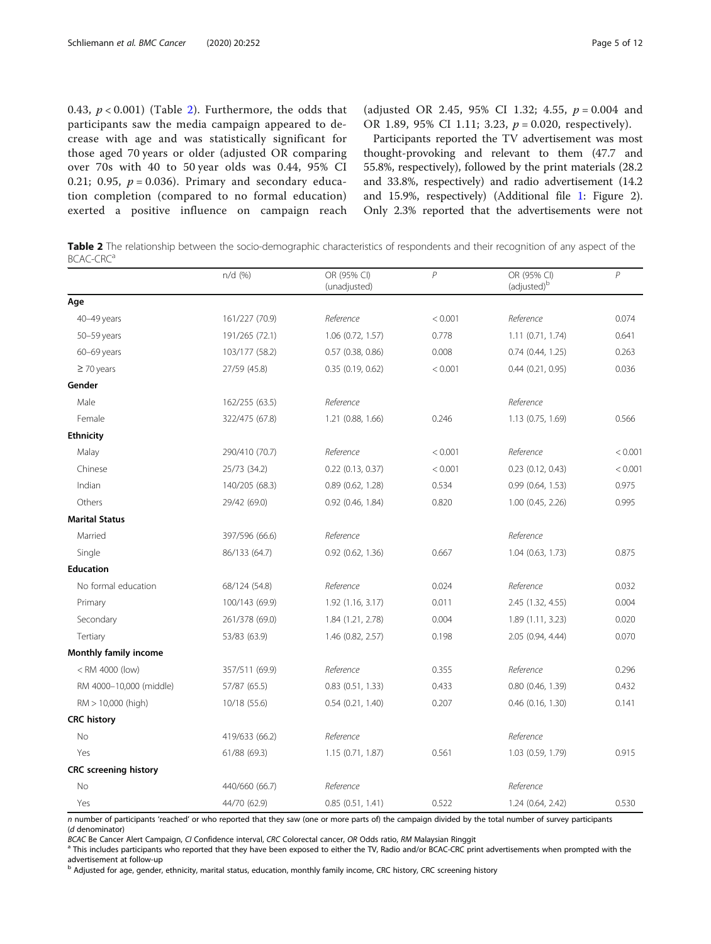0.43,  $p < 0.001$ ) (Table 2). Furthermore, the odds that participants saw the media campaign appeared to decrease with age and was statistically significant for those aged 70 years or older (adjusted OR comparing over 70s with 40 to 50 year olds was 0.44, 95% CI 0.21; 0.95,  $p = 0.036$ ). Primary and secondary education completion (compared to no formal education) exerted a positive influence on campaign reach

(adjusted OR 2.45, 95% CI 1.32; 4.55,  $p = 0.004$  and OR 1.89, 95% CI 1.11; 3.23,  $p = 0.020$ , respectively).

Participants reported the TV advertisement was most thought-provoking and relevant to them (47.7 and 55.8%, respectively), followed by the print materials (28.2 and 33.8%, respectively) and radio advertisement (14.2 and 15.9%, respectively) (Additional file [1:](#page-10-0) Figure 2). Only 2.3% reported that the advertisements were not

Table 2 The relationship between the socio-demographic characteristics of respondents and their recognition of any aspect of the BCAC-CRC<sup>a</sup>

|                                                                                                                          | $n/d$ (%)      | OR (95% CI)<br>(unadjusted) | $\overline{P}$ | OR (95% CI)<br>(adjusted) <sup>b</sup> | $\,P$   |
|--------------------------------------------------------------------------------------------------------------------------|----------------|-----------------------------|----------------|----------------------------------------|---------|
| Age                                                                                                                      |                |                             |                |                                        |         |
| 40-49 years                                                                                                              | 161/227 (70.9) | Reference                   | < 0.001        | Reference                              | 0.074   |
| 50-59 years                                                                                                              | 191/265 (72.1) | $1.06$ (0.72, 1.57)         | 0.778          | $1.11$ (0.71, 1.74)                    | 0.641   |
| 60-69 years                                                                                                              | 103/177 (58.2) | 0.57 (0.38, 0.86)           | 0.008          | 0.74 (0.44, 1.25)                      | 0.263   |
| $\geq$ 70 years                                                                                                          | 27/59 (45.8)   | 0.35(0.19, 0.62)            | < 0.001        | $0.44$ $(0.21, 0.95)$                  | 0.036   |
| Gender                                                                                                                   |                |                             |                |                                        |         |
| Male                                                                                                                     | 162/255 (63.5) | Reference                   |                | Reference                              |         |
| Female                                                                                                                   | 322/475 (67.8) | 1.21 (0.88, 1.66)           | 0.246          | 1.13 (0.75, 1.69)                      | 0.566   |
| <b>Ethnicity</b>                                                                                                         |                |                             |                |                                        |         |
| Malay                                                                                                                    | 290/410 (70.7) | Reference                   | < 0.001        | Reference                              | < 0.001 |
| Chinese                                                                                                                  | 25/73 (34.2)   | $0.22$ $(0.13, 0.37)$       | < 0.001        | $0.23$ $(0.12, 0.43)$                  | < 0.001 |
| Indian                                                                                                                   | 140/205 (68.3) | $0.89$ (0.62, 1.28)         | 0.534          | 0.99 (0.64, 1.53)                      | 0.975   |
| Others                                                                                                                   | 29/42 (69.0)   | $0.92$ $(0.46, 1.84)$       | 0.820          | $1.00$ (0.45, 2.26)                    | 0.995   |
| <b>Marital Status</b>                                                                                                    |                |                             |                |                                        |         |
| Married                                                                                                                  | 397/596 (66.6) | Reference                   |                | Reference                              |         |
| Single                                                                                                                   | 86/133 (64.7)  | $0.92$ $(0.62, 1.36)$       | 0.667          | 1.04(0.63, 1.73)                       | 0.875   |
| <b>Education</b>                                                                                                         |                |                             |                |                                        |         |
| No formal education                                                                                                      | 68/124 (54.8)  | Reference                   | 0.024          | Reference                              | 0.032   |
| Primary                                                                                                                  | 100/143 (69.9) | 1.92 (1.16, 3.17)           | 0.011          | 2.45 (1.32, 4.55)                      | 0.004   |
| Secondary                                                                                                                | 261/378 (69.0) | 1.84 (1.21, 2.78)           | 0.004          | 1.89(1.11, 3.23)                       | 0.020   |
| Tertiary                                                                                                                 | 53/83 (63.9)   | 1.46 (0.82, 2.57)           | 0.198          | 2.05 (0.94, 4.44)                      | 0.070   |
| Monthly family income                                                                                                    |                |                             |                |                                        |         |
| <rm (low)<="" 4000="" td=""><td>357/511 (69.9)</td><td>Reference</td><td>0.355</td><td>Reference</td><td>0.296</td></rm> | 357/511 (69.9) | Reference                   | 0.355          | Reference                              | 0.296   |
| RM 4000-10,000 (middle)                                                                                                  | 57/87 (65.5)   | $0.83$ $(0.51, 1.33)$       | 0.433          | 0.80 (0.46, 1.39)                      | 0.432   |
| $RM > 10,000$ (high)                                                                                                     | 10/18 (55.6)   | 0.54(0.21, 1.40)            | 0.207          | $0.46$ $(0.16, 1.30)$                  | 0.141   |
| <b>CRC history</b>                                                                                                       |                |                             |                |                                        |         |
| No                                                                                                                       | 419/633 (66.2) | Reference                   |                | Reference                              |         |
| Yes                                                                                                                      | 61/88 (69.3)   | 1.15 (0.71, 1.87)           | 0.561          | 1.03 (0.59, 1.79)                      | 0.915   |
| <b>CRC</b> screening history                                                                                             |                |                             |                |                                        |         |
| No                                                                                                                       | 440/660 (66.7) | Reference                   |                | Reference                              |         |
| Yes                                                                                                                      | 44/70 (62.9)   | 0.85(0.51, 1.41)            | 0.522          | 1.24 (0.64, 2.42)                      | 0.530   |

n number of participants 'reached' or who reported that they saw (one or more parts of) the campaign divided by the total number of survey participants (d denominator)<br>BCAC Be Cancer Alert Campaign, CI Confidence interval, CRC Colorectal cancer, OR Odds ratio, RM Malaysian Ringgit

a This includes participants who reported that they have been exposed to either the TV, Radio and/or BCAC-CRC print advertisements when prompted with the advertisement at follow-up

<sup>b</sup> Adjusted for age, gender, ethnicity, marital status, education, monthly family income, CRC history, CRC screening history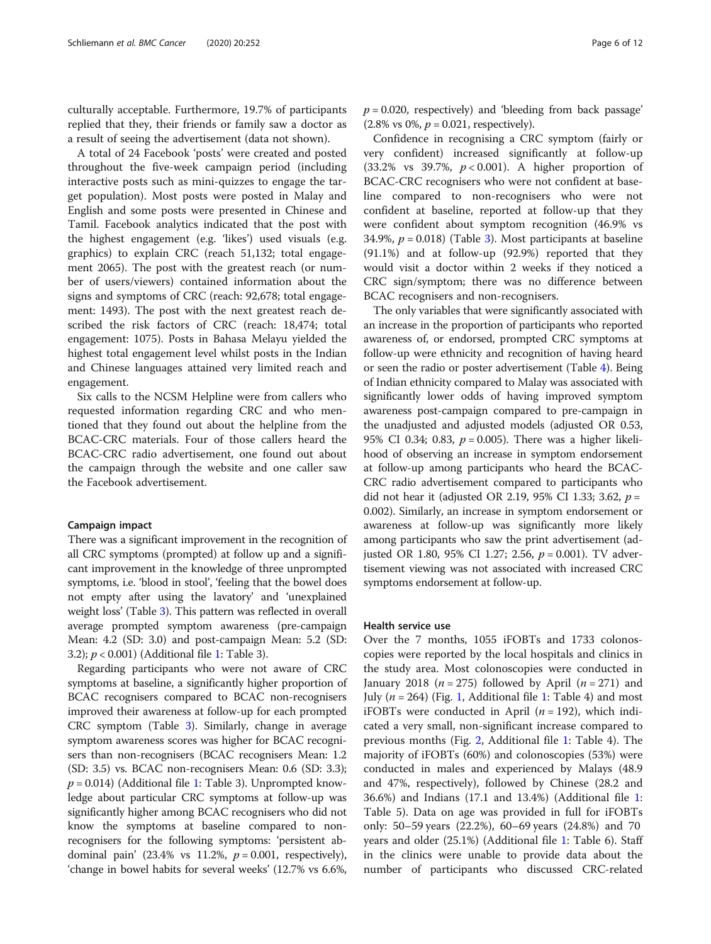culturally acceptable. Furthermore, 19.7% of participants replied that they, their friends or family saw a doctor as a result of seeing the advertisement (data not shown).

A total of 24 Facebook 'posts' were created and posted throughout the five-week campaign period (including interactive posts such as mini-quizzes to engage the target population). Most posts were posted in Malay and English and some posts were presented in Chinese and Tamil. Facebook analytics indicated that the post with the highest engagement (e.g. 'likes') used visuals (e.g. graphics) to explain CRC (reach 51,132; total engagement 2065). The post with the greatest reach (or number of users/viewers) contained information about the signs and symptoms of CRC (reach: 92,678; total engagement: 1493). The post with the next greatest reach described the risk factors of CRC (reach: 18,474; total engagement: 1075). Posts in Bahasa Melayu yielded the highest total engagement level whilst posts in the Indian and Chinese languages attained very limited reach and engagement.

Six calls to the NCSM Helpline were from callers who requested information regarding CRC and who mentioned that they found out about the helpline from the BCAC-CRC materials. Four of those callers heard the BCAC-CRC radio advertisement, one found out about the campaign through the website and one caller saw the Facebook advertisement.

#### Campaign impact

There was a significant improvement in the recognition of all CRC symptoms (prompted) at follow up and a significant improvement in the knowledge of three unprompted symptoms, i.e. 'blood in stool', 'feeling that the bowel does not empty after using the lavatory' and 'unexplained weight loss' (Table [3\)](#page-6-0). This pattern was reflected in overall average prompted symptom awareness (pre-campaign Mean: 4.2 (SD: 3.0) and post-campaign Mean: 5.2 (SD: 3.2); p < 0.001) (Additional file [1:](#page-10-0) Table 3).

Regarding participants who were not aware of CRC symptoms at baseline, a significantly higher proportion of BCAC recognisers compared to BCAC non-recognisers improved their awareness at follow-up for each prompted CRC symptom (Table [3](#page-6-0)). Similarly, change in average symptom awareness scores was higher for BCAC recognisers than non-recognisers (BCAC recognisers Mean: 1.2 (SD: 3.5) vs. BCAC non-recognisers Mean: 0.6 (SD: 3.3);  $p = 0.014$ ) (Additional file [1:](#page-10-0) Table 3). Unprompted knowledge about particular CRC symptoms at follow-up was significantly higher among BCAC recognisers who did not know the symptoms at baseline compared to nonrecognisers for the following symptoms: 'persistent abdominal pain' (23.4% vs 11.2%,  $p = 0.001$ , respectively), 'change in bowel habits for several weeks' (12.7% vs 6.6%,  $p = 0.020$ , respectively) and 'bleeding from back passage'  $(2.8\% \text{ vs } 0\%, p = 0.021, \text{ respectively}).$ 

Confidence in recognising a CRC symptom (fairly or very confident) increased significantly at follow-up (33.2% vs 39.7%,  $p < 0.001$ ). A higher proportion of BCAC-CRC recognisers who were not confident at baseline compared to non-recognisers who were not confident at baseline, reported at follow-up that they were confident about symptom recognition (46.9% vs [3](#page-6-0)4.9%,  $p = 0.018$ ) (Table 3). Most participants at baseline (91.1%) and at follow-up (92.9%) reported that they would visit a doctor within 2 weeks if they noticed a CRC sign/symptom; there was no difference between BCAC recognisers and non-recognisers.

The only variables that were significantly associated with an increase in the proportion of participants who reported awareness of, or endorsed, prompted CRC symptoms at follow-up were ethnicity and recognition of having heard or seen the radio or poster advertisement (Table [4\)](#page-7-0). Being of Indian ethnicity compared to Malay was associated with significantly lower odds of having improved symptom awareness post-campaign compared to pre-campaign in the unadjusted and adjusted models (adjusted OR 0.53, 95% CI 0.34; 0.83,  $p = 0.005$ ). There was a higher likelihood of observing an increase in symptom endorsement at follow-up among participants who heard the BCAC-CRC radio advertisement compared to participants who did not hear it (adjusted OR 2.19, 95% CI 1.33; 3.62,  $p =$ 0.002). Similarly, an increase in symptom endorsement or awareness at follow-up was significantly more likely among participants who saw the print advertisement (adjusted OR 1.80, 95% CI 1.27; 2.56,  $p = 0.001$ ). TV advertisement viewing was not associated with increased CRC symptoms endorsement at follow-up.

#### Health service use

Over the 7 months, 1055 iFOBTs and 1733 colonoscopies were reported by the local hospitals and clinics in the study area. Most colonoscopies were conducted in January 2018 ( $n = 275$ ) followed by April ( $n = 271$ ) and July ( $n = 264$ ) (Fig. [1](#page-8-0), Additional file [1:](#page-10-0) Table 4) and most iFOBTs were conducted in April  $(n = 192)$ , which indicated a very small, non-significant increase compared to previous months (Fig. [2](#page-8-0), Additional file [1](#page-10-0): Table 4). The majority of iFOBTs (60%) and colonoscopies (53%) were conducted in males and experienced by Malays (48.9 and 47%, respectively), followed by Chinese (28.2 and 36.6%) and Indians (17.1 and 13.4%) (Additional file [1](#page-10-0): Table 5). Data on age was provided in full for iFOBTs only: 50–59 years (22.2%), 60–69 years (24.8%) and 70 years and older (25.1%) (Additional file [1:](#page-10-0) Table 6). Staff in the clinics were unable to provide data about the number of participants who discussed CRC-related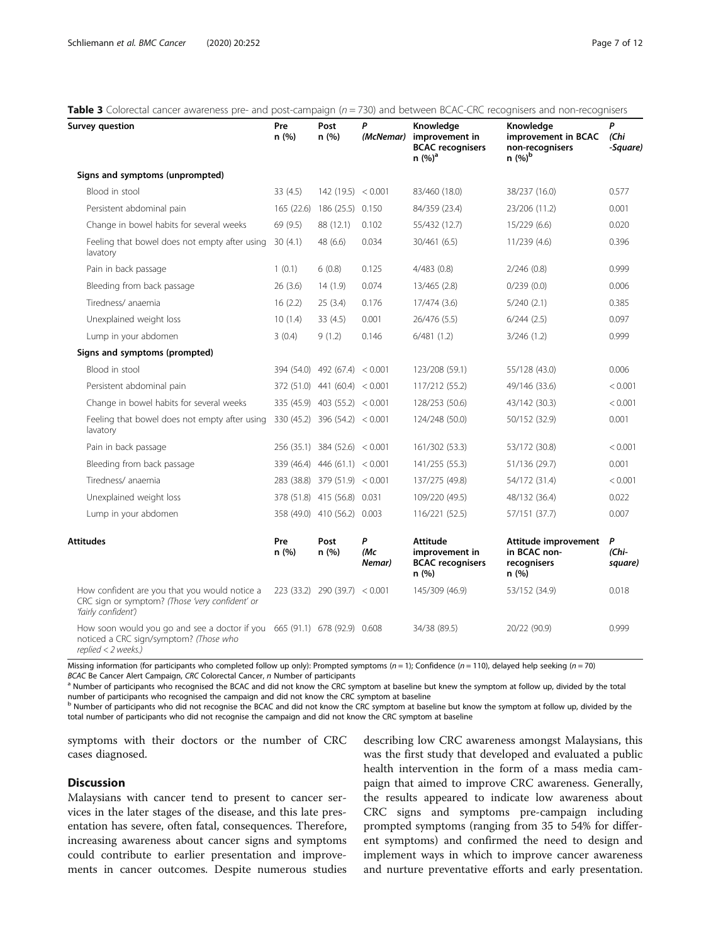<span id="page-6-0"></span>

| <b>Table 3</b> Colorectal cancer awareness pre- and post-campaign $(n = 730)$ and between BCAC-CRC recognisers and non-recognisers |  |  |
|------------------------------------------------------------------------------------------------------------------------------------|--|--|
|                                                                                                                                    |  |  |

| Survey question                                                                                                                               | Pre<br>n(%)                   | Post<br>n(%)                  | P<br>(McNemar)     | Knowledge<br>improvement in<br><b>BCAC</b> recognisers<br>n (%) <sup>a</sup> | Knowledge<br>improvement in BCAC<br>non-recognisers<br>n (%) <sup>b</sup> | P<br>(Chi<br>-Square) |
|-----------------------------------------------------------------------------------------------------------------------------------------------|-------------------------------|-------------------------------|--------------------|------------------------------------------------------------------------------|---------------------------------------------------------------------------|-----------------------|
| Signs and symptoms (unprompted)                                                                                                               |                               |                               |                    |                                                                              |                                                                           |                       |
| Blood in stool                                                                                                                                | 33(4.5)                       | 142(19.5) < 0.001             |                    | 83/460 (18.0)                                                                | 38/237 (16.0)                                                             | 0.577                 |
| Persistent abdominal pain                                                                                                                     |                               | 165 (22.6) 186 (25.5) 0.150   |                    | 84/359 (23.4)                                                                | 23/206 (11.2)                                                             | 0.001                 |
| Change in bowel habits for several weeks                                                                                                      | 69 (9.5)                      | 88 (12.1)                     | 0.102              | 55/432 (12.7)                                                                | 15/229 (6.6)                                                              | 0.020                 |
| Feeling that bowel does not empty after using<br>lavatory                                                                                     | 30(4.1)                       | 48 (6.6)                      | 0.034              | 30/461 (6.5)                                                                 | 11/239(4.6)                                                               | 0.396                 |
| Pain in back passage                                                                                                                          | 1(0.1)                        | 6(0.8)                        | 0.125              | 4/483(0.8)                                                                   | 2/246 (0.8)                                                               | 0.999                 |
| Bleeding from back passage                                                                                                                    | 26(3.6)                       | 14(1.9)                       | 0.074              | 13/465 (2.8)                                                                 | 0/239(0.0)                                                                | 0.006                 |
| Tiredness/anaemia                                                                                                                             | 16(2.2)                       | 25(3.4)                       | 0.176              | 17/474 (3.6)                                                                 | 5/240(2.1)                                                                | 0.385                 |
| Unexplained weight loss                                                                                                                       | 10(1.4)                       | 33(4.5)                       | 0.001              | 26/476 (5.5)                                                                 | $6/244$ $(2.5)$                                                           | 0.097                 |
| Lump in your abdomen                                                                                                                          | 3(0.4)                        | 9(1.2)                        | 0.146              | 6/481(1.2)                                                                   | 3/246 (1.2)                                                               | 0.999                 |
| Signs and symptoms (prompted)                                                                                                                 |                               |                               |                    |                                                                              |                                                                           |                       |
| Blood in stool                                                                                                                                |                               | 394 (54.0) 492 (67.4) < 0.001 |                    | 123/208 (59.1)                                                               | 55/128 (43.0)                                                             | 0.006                 |
| Persistent abdominal pain                                                                                                                     |                               | 372 (51.0) 441 (60.4) < 0.001 |                    | 117/212 (55.2)                                                               | 49/146 (33.6)                                                             | < 0.001               |
| Change in bowel habits for several weeks                                                                                                      |                               | 335 (45.9) 403 (55.2) < 0.001 |                    | 128/253 (50.6)                                                               | 43/142 (30.3)                                                             | < 0.001               |
| Feeling that bowel does not empty after using<br>lavatory                                                                                     | 330 (45.2) 396 (54.2) < 0.001 |                               |                    | 124/248 (50.0)                                                               | 50/152 (32.9)                                                             | 0.001                 |
| Pain in back passage                                                                                                                          |                               | 256 (35.1) 384 (52.6) < 0.001 |                    | 161/302 (53.3)                                                               | 53/172 (30.8)                                                             | < 0.001               |
| Bleeding from back passage                                                                                                                    |                               | 339 (46.4) 446 (61.1) < 0.001 |                    | 141/255 (55.3)                                                               | 51/136 (29.7)                                                             | 0.001                 |
| Tiredness/ anaemia                                                                                                                            |                               | 283 (38.8) 379 (51.9) < 0.001 |                    | 137/275 (49.8)                                                               | 54/172 (31.4)                                                             | < 0.001               |
| Unexplained weight loss                                                                                                                       |                               | 378 (51.8) 415 (56.8) 0.031   |                    | 109/220 (49.5)                                                               | 48/132 (36.4)                                                             | 0.022                 |
| Lump in your abdomen                                                                                                                          |                               | 358 (49.0) 410 (56.2) 0.003   |                    | 116/221 (52.5)                                                               | 57/151 (37.7)                                                             | 0.007                 |
| Attitudes                                                                                                                                     | Pre<br>n(%)                   | Post<br>n(%)                  | P<br>(Mc<br>Nemar) | <b>Attitude</b><br>improvement in<br><b>BCAC</b> recognisers<br>n (%)        | Attitude improvement<br>in BCAC non-<br>recognisers<br>n(%)               | P<br>(Chi-<br>square) |
| How confident are you that you would notice a<br>CRC sign or symptom? (Those 'very confident' or<br>'fairly confident')                       |                               | 223 (33.2) 290 (39.7) < 0.001 |                    | 145/309 (46.9)                                                               | 53/152 (34.9)                                                             | 0.018                 |
| How soon would you go and see a doctor if you $665(91.1)$ 678 (92.9) 0.608<br>noticed a CRC sign/symptom? (Those who<br>$replied < 2$ weeks.) |                               |                               |                    | 34/38 (89.5)                                                                 | 20/22 (90.9)                                                              | 0.999                 |

Missing information (for participants who completed follow up only): Prompted symptoms ( $n = 1$ ); Confidence ( $n = 110$ ), delayed help seeking ( $n = 70$ ) BCAC Be Cancer Alert Campaign, CRC Colorectal Cancer, n Number of part

<sup>a</sup> Number of participants who recognised the BCAC and did not know the CRC symptom at baseline but knew the symptom at follow up, divided by the total number of participants who recognised the campaign and did not know the CRC symptom at baseline

<sup>b</sup> Number of participants who did not recognise the BCAC and did not know the CRC symptom at baseline but know the symptom at follow up, divided by the total number of participants who did not recognise the campaign and did not know the CRC symptom at baseline

symptoms with their doctors or the number of CRC cases diagnosed.

#### **Discussion**

Malaysians with cancer tend to present to cancer services in the later stages of the disease, and this late presentation has severe, often fatal, consequences. Therefore, increasing awareness about cancer signs and symptoms could contribute to earlier presentation and improvements in cancer outcomes. Despite numerous studies

describing low CRC awareness amongst Malaysians, this was the first study that developed and evaluated a public health intervention in the form of a mass media campaign that aimed to improve CRC awareness. Generally, the results appeared to indicate low awareness about CRC signs and symptoms pre-campaign including prompted symptoms (ranging from 35 to 54% for different symptoms) and confirmed the need to design and implement ways in which to improve cancer awareness and nurture preventative efforts and early presentation.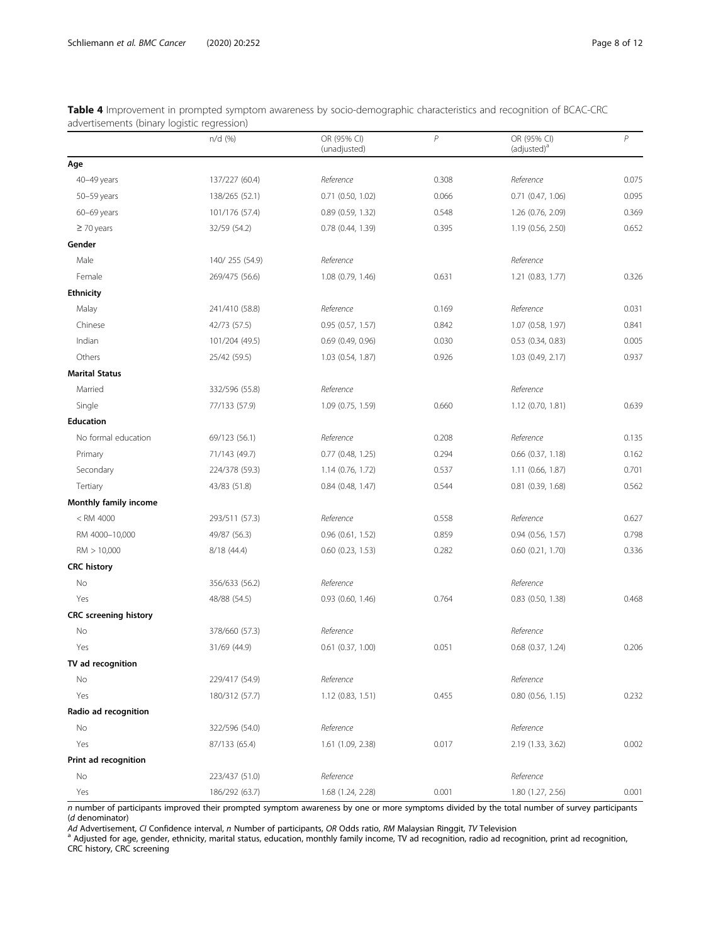|                              | $n/d$ (%)      | OR (95% CI)<br>(unadjusted) | $\overline{P}$ | OR (95% CI)<br>(adjusted) <sup>a</sup> | $\overline{P}$ |
|------------------------------|----------------|-----------------------------|----------------|----------------------------------------|----------------|
| Age                          |                |                             |                |                                        |                |
| 40-49 years                  | 137/227 (60.4) | Reference                   | 0.308          | Reference                              | 0.075          |
| 50-59 years                  | 138/265 (52.1) | $0.71$ $(0.50, 1.02)$       | 0.066          | $0.71$ $(0.47, 1.06)$                  | 0.095          |
| 60-69 years                  | 101/176 (57.4) | 0.89 (0.59, 1.32)           | 0.548          | 1.26 (0.76, 2.09)                      | 0.369          |
| $\geq$ 70 years              | 32/59 (54.2)   | 0.78 (0.44, 1.39)           | 0.395          | 1.19 (0.56, 2.50)                      | 0.652          |
| Gender                       |                |                             |                |                                        |                |
| Male                         | 140/255 (54.9) | Reference                   |                | Reference                              |                |
| Female                       | 269/475 (56.6) | 1.08 (0.79, 1.46)           | 0.631          | 1.21 (0.83, 1.77)                      | 0.326          |
| <b>Ethnicity</b>             |                |                             |                |                                        |                |
| Malay                        | 241/410 (58.8) | Reference                   | 0.169          | Reference                              | 0.031          |
| Chinese                      | 42/73 (57.5)   | $0.95$ $(0.57, 1.57)$       | 0.842          | 1.07 (0.58, 1.97)                      | 0.841          |
| Indian                       | 101/204 (49.5) | $0.69$ $(0.49, 0.96)$       | 0.030          | $0.53$ $(0.34, 0.83)$                  | 0.005          |
| Others                       | 25/42 (59.5)   | $1.03$ $(0.54, 1.87)$       | 0.926          | 1.03 (0.49, 2.17)                      | 0.937          |
| <b>Marital Status</b>        |                |                             |                |                                        |                |
| Married                      | 332/596 (55.8) | Reference                   |                | Reference                              |                |
| Single                       | 77/133 (57.9)  | 1.09 (0.75, 1.59)           | 0.660          | $1.12$ (0.70, 1.81)                    | 0.639          |
| <b>Education</b>             |                |                             |                |                                        |                |
| No formal education          | 69/123 (56.1)  | Reference                   | 0.208          | Reference                              | 0.135          |
| Primary                      | 71/143 (49.7)  | $0.77$ $(0.48, 1.25)$       | 0.294          | $0.66$ $(0.37, 1.18)$                  | 0.162          |
| Secondary                    | 224/378 (59.3) | 1.14 (0.76, 1.72)           | 0.537          | 1.11 (0.66, 1.87)                      | 0.701          |
| Tertiary                     | 43/83 (51.8)   | $0.84$ (0.48, 1.47)         | 0.544          | 0.81 (0.39, 1.68)                      | 0.562          |
| Monthly family income        |                |                             |                |                                        |                |
| $<$ RM 4000                  | 293/511 (57.3) | Reference                   | 0.558          | Reference                              | 0.627          |
| RM 4000-10,000               | 49/87 (56.3)   | $0.96$ $(0.61, 1.52)$       | 0.859          | $0.94$ $(0.56, 1.57)$                  | 0.798          |
| RM > 10,000                  | 8/18 (44.4)    | $0.60$ $(0.23, 1.53)$       | 0.282          | $0.60$ $(0.21, 1.70)$                  | 0.336          |
| <b>CRC</b> history           |                |                             |                |                                        |                |
| No                           | 356/633 (56.2) | Reference                   |                | Reference                              |                |
| Yes                          | 48/88 (54.5)   | $0.93$ $(0.60, 1.46)$       | 0.764          | $0.83$ $(0.50, 1.38)$                  | 0.468          |
| <b>CRC</b> screening history |                |                             |                |                                        |                |
| No                           | 378/660 (57.3) | Reference                   |                | Reference                              |                |
| Yes                          | 31/69 (44.9)   | $0.61$ $(0.37, 1.00)$       | 0.051          | $0.68$ $(0.37, 1.24)$                  | 0.206          |
| TV ad recognition            |                |                             |                |                                        |                |
| No                           | 229/417 (54.9) | Reference                   |                | Reference                              |                |
| Yes                          | 180/312 (57.7) | 1.12 (0.83, 1.51)           | 0.455          | $0.80$ $(0.56, 1.15)$                  | 0.232          |
| Radio ad recognition         |                |                             |                |                                        |                |
| No                           | 322/596 (54.0) | Reference                   |                | Reference                              |                |
| Yes                          | 87/133 (65.4)  | 1.61 (1.09, 2.38)           | 0.017          | 2.19 (1.33, 3.62)                      | 0.002          |
| Print ad recognition         |                |                             |                |                                        |                |
| No                           | 223/437 (51.0) | Reference                   |                | Reference                              |                |
| Yes                          | 186/292 (63.7) | 1.68 (1.24, 2.28)           | 0.001          | 1.80 (1.27, 2.56)                      | 0.001          |

<span id="page-7-0"></span>Table 4 Improvement in prompted symptom awareness by socio-demographic characteristics and recognition of BCAC-CRC advertisements (binary logistic regression)

 $n$  number of participants improved their prompted symptom awareness by one or more symptoms divided by the total number of survey participants (d denominator)<br>Ad Advertisement, CI Confidence interval, n Number of participants, OR Odds ratio, RM Malaysian Ringgit, TV Television

Ad Advertisement, CI Confidence interval, *n* Number of participants, OR Odds ratio, RM Malaysian Ringgit, TV Television<br><sup>a</sup> Adjusted for age, gender, ethnicity, marital status, education, monthly family income, TV ad reco CRC history, CRC screening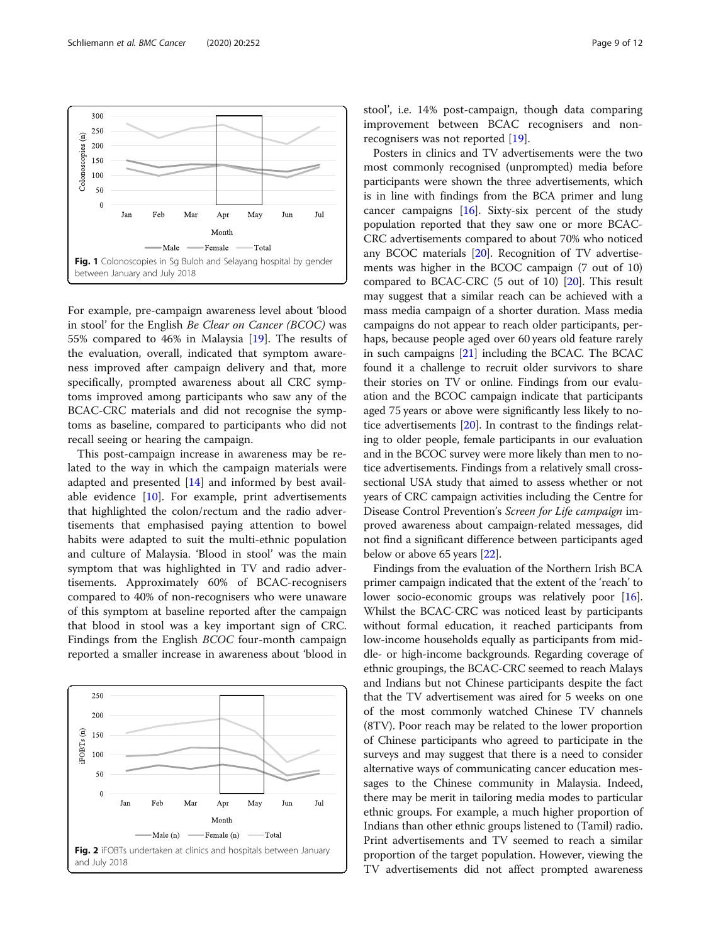<span id="page-8-0"></span>

For example, pre-campaign awareness level about 'blood in stool' for the English Be Clear on Cancer (BCOC) was 55% compared to 46% in Malaysia [[19](#page-11-0)]. The results of the evaluation, overall, indicated that symptom awareness improved after campaign delivery and that, more specifically, prompted awareness about all CRC symptoms improved among participants who saw any of the BCAC-CRC materials and did not recognise the symptoms as baseline, compared to participants who did not recall seeing or hearing the campaign.

This post-campaign increase in awareness may be related to the way in which the campaign materials were adapted and presented [\[14\]](#page-11-0) and informed by best available evidence [[10](#page-11-0)]. For example, print advertisements that highlighted the colon/rectum and the radio advertisements that emphasised paying attention to bowel habits were adapted to suit the multi-ethnic population and culture of Malaysia. 'Blood in stool' was the main symptom that was highlighted in TV and radio advertisements. Approximately 60% of BCAC-recognisers compared to 40% of non-recognisers who were unaware of this symptom at baseline reported after the campaign that blood in stool was a key important sign of CRC. Findings from the English BCOC four-month campaign reported a smaller increase in awareness about 'blood in



stool', i.e. 14% post-campaign, though data comparing improvement between BCAC recognisers and nonrecognisers was not reported [\[19\]](#page-11-0).

Posters in clinics and TV advertisements were the two most commonly recognised (unprompted) media before participants were shown the three advertisements, which is in line with findings from the BCA primer and lung cancer campaigns [\[16\]](#page-11-0). Sixty-six percent of the study population reported that they saw one or more BCAC-CRC advertisements compared to about 70% who noticed any BCOC materials [\[20\]](#page-11-0). Recognition of TV advertisements was higher in the BCOC campaign (7 out of 10) compared to BCAC-CRC (5 out of 10) [\[20\]](#page-11-0). This result may suggest that a similar reach can be achieved with a mass media campaign of a shorter duration. Mass media campaigns do not appear to reach older participants, perhaps, because people aged over 60 years old feature rarely in such campaigns [[21](#page-11-0)] including the BCAC. The BCAC found it a challenge to recruit older survivors to share their stories on TV or online. Findings from our evaluation and the BCOC campaign indicate that participants aged 75 years or above were significantly less likely to notice advertisements [[20](#page-11-0)]. In contrast to the findings relating to older people, female participants in our evaluation and in the BCOC survey were more likely than men to notice advertisements. Findings from a relatively small crosssectional USA study that aimed to assess whether or not years of CRC campaign activities including the Centre for Disease Control Prevention's Screen for Life campaign improved awareness about campaign-related messages, did not find a significant difference between participants aged below or above 65 years [\[22](#page-11-0)].

Findings from the evaluation of the Northern Irish BCA primer campaign indicated that the extent of the 'reach' to lower socio-economic groups was relatively poor [[16](#page-11-0)]. Whilst the BCAC-CRC was noticed least by participants without formal education, it reached participants from low-income households equally as participants from middle- or high-income backgrounds. Regarding coverage of ethnic groupings, the BCAC-CRC seemed to reach Malays and Indians but not Chinese participants despite the fact that the TV advertisement was aired for 5 weeks on one of the most commonly watched Chinese TV channels (8TV). Poor reach may be related to the lower proportion of Chinese participants who agreed to participate in the surveys and may suggest that there is a need to consider alternative ways of communicating cancer education messages to the Chinese community in Malaysia. Indeed, there may be merit in tailoring media modes to particular ethnic groups. For example, a much higher proportion of Indians than other ethnic groups listened to (Tamil) radio. Print advertisements and TV seemed to reach a similar proportion of the target population. However, viewing the TV advertisements did not affect prompted awareness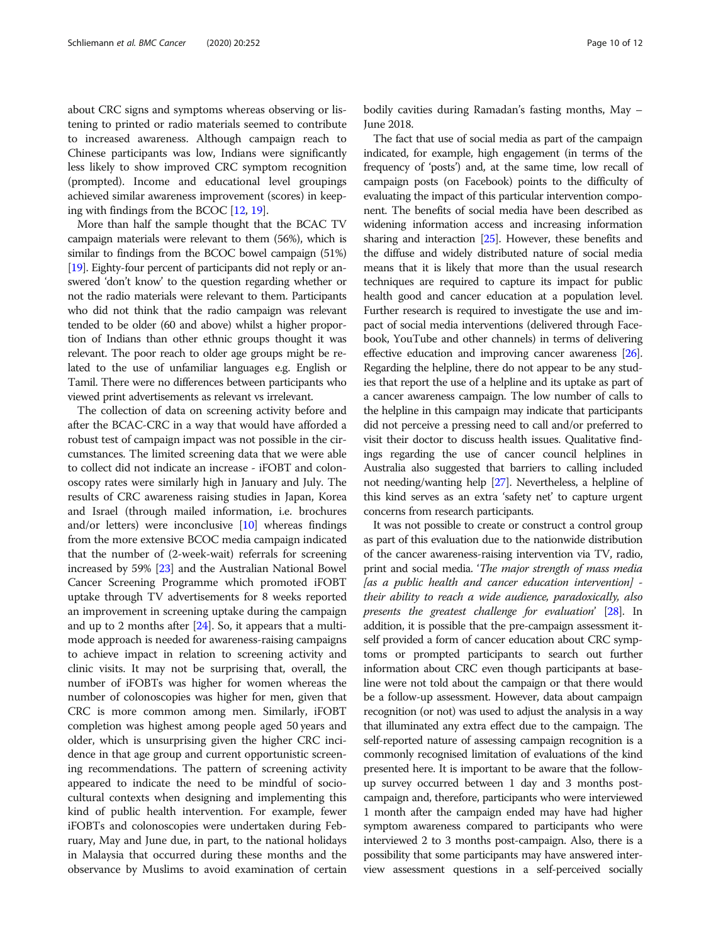about CRC signs and symptoms whereas observing or listening to printed or radio materials seemed to contribute to increased awareness. Although campaign reach to Chinese participants was low, Indians were significantly less likely to show improved CRC symptom recognition (prompted). Income and educational level groupings achieved similar awareness improvement (scores) in keeping with findings from the BCOC [[12,](#page-11-0) [19\]](#page-11-0).

More than half the sample thought that the BCAC TV campaign materials were relevant to them (56%), which is similar to findings from the BCOC bowel campaign (51%) [[19](#page-11-0)]. Eighty-four percent of participants did not reply or answered 'don't know' to the question regarding whether or not the radio materials were relevant to them. Participants who did not think that the radio campaign was relevant tended to be older (60 and above) whilst a higher proportion of Indians than other ethnic groups thought it was relevant. The poor reach to older age groups might be related to the use of unfamiliar languages e.g. English or Tamil. There were no differences between participants who viewed print advertisements as relevant vs irrelevant.

The collection of data on screening activity before and after the BCAC-CRC in a way that would have afforded a robust test of campaign impact was not possible in the circumstances. The limited screening data that we were able to collect did not indicate an increase - iFOBT and colonoscopy rates were similarly high in January and July. The results of CRC awareness raising studies in Japan, Korea and Israel (through mailed information, i.e. brochures and/or letters) were inconclusive  $[10]$  whereas findings from the more extensive BCOC media campaign indicated that the number of (2-week-wait) referrals for screening increased by 59% [\[23\]](#page-11-0) and the Australian National Bowel Cancer Screening Programme which promoted iFOBT uptake through TV advertisements for 8 weeks reported an improvement in screening uptake during the campaign and up to 2 months after [[24](#page-11-0)]. So, it appears that a multimode approach is needed for awareness-raising campaigns to achieve impact in relation to screening activity and clinic visits. It may not be surprising that, overall, the number of iFOBTs was higher for women whereas the number of colonoscopies was higher for men, given that CRC is more common among men. Similarly, iFOBT completion was highest among people aged 50 years and older, which is unsurprising given the higher CRC incidence in that age group and current opportunistic screening recommendations. The pattern of screening activity appeared to indicate the need to be mindful of sociocultural contexts when designing and implementing this kind of public health intervention. For example, fewer iFOBTs and colonoscopies were undertaken during February, May and June due, in part, to the national holidays in Malaysia that occurred during these months and the observance by Muslims to avoid examination of certain bodily cavities during Ramadan's fasting months, May – June 2018.

The fact that use of social media as part of the campaign indicated, for example, high engagement (in terms of the frequency of 'posts') and, at the same time, low recall of campaign posts (on Facebook) points to the difficulty of evaluating the impact of this particular intervention component. The benefits of social media have been described as widening information access and increasing information sharing and interaction [\[25\]](#page-11-0). However, these benefits and the diffuse and widely distributed nature of social media means that it is likely that more than the usual research techniques are required to capture its impact for public health good and cancer education at a population level. Further research is required to investigate the use and impact of social media interventions (delivered through Facebook, YouTube and other channels) in terms of delivering effective education and improving cancer awareness [\[26](#page-11-0)]. Regarding the helpline, there do not appear to be any studies that report the use of a helpline and its uptake as part of a cancer awareness campaign. The low number of calls to the helpline in this campaign may indicate that participants did not perceive a pressing need to call and/or preferred to visit their doctor to discuss health issues. Qualitative findings regarding the use of cancer council helplines in Australia also suggested that barriers to calling included not needing/wanting help [\[27\]](#page-11-0). Nevertheless, a helpline of this kind serves as an extra 'safety net' to capture urgent concerns from research participants.

It was not possible to create or construct a control group as part of this evaluation due to the nationwide distribution of the cancer awareness-raising intervention via TV, radio, print and social media. 'The major strength of mass media [as a public health and cancer education intervention] their ability to reach a wide audience, paradoxically, also presents the greatest challenge for evaluation' [\[28](#page-11-0)]. In addition, it is possible that the pre-campaign assessment itself provided a form of cancer education about CRC symptoms or prompted participants to search out further information about CRC even though participants at baseline were not told about the campaign or that there would be a follow-up assessment. However, data about campaign recognition (or not) was used to adjust the analysis in a way that illuminated any extra effect due to the campaign. The self-reported nature of assessing campaign recognition is a commonly recognised limitation of evaluations of the kind presented here. It is important to be aware that the followup survey occurred between 1 day and 3 months postcampaign and, therefore, participants who were interviewed 1 month after the campaign ended may have had higher symptom awareness compared to participants who were interviewed 2 to 3 months post-campaign. Also, there is a possibility that some participants may have answered interview assessment questions in a self-perceived socially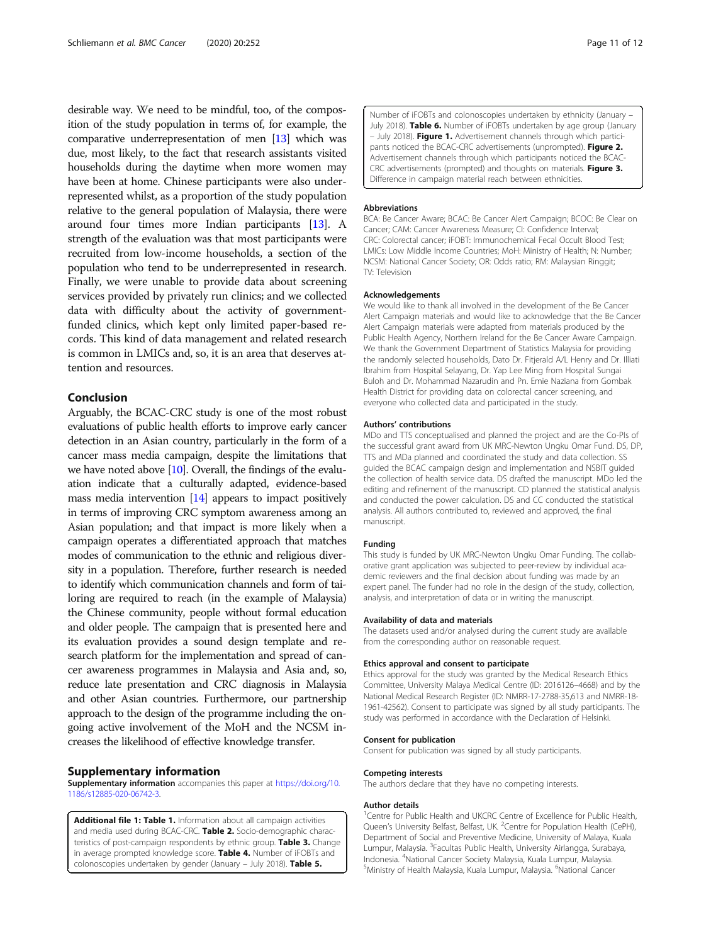<span id="page-10-0"></span>desirable way. We need to be mindful, too, of the composition of the study population in terms of, for example, the comparative underrepresentation of men [[13](#page-11-0)] which was due, most likely, to the fact that research assistants visited households during the daytime when more women may have been at home. Chinese participants were also underrepresented whilst, as a proportion of the study population relative to the general population of Malaysia, there were around four times more Indian participants [[13\]](#page-11-0). A strength of the evaluation was that most participants were recruited from low-income households, a section of the population who tend to be underrepresented in research. Finally, we were unable to provide data about screening services provided by privately run clinics; and we collected data with difficulty about the activity of governmentfunded clinics, which kept only limited paper-based records. This kind of data management and related research is common in LMICs and, so, it is an area that deserves attention and resources.

#### Conclusion

Arguably, the BCAC-CRC study is one of the most robust evaluations of public health efforts to improve early cancer detection in an Asian country, particularly in the form of a cancer mass media campaign, despite the limitations that we have noted above [\[10\]](#page-11-0). Overall, the findings of the evaluation indicate that a culturally adapted, evidence-based mass media intervention [\[14](#page-11-0)] appears to impact positively in terms of improving CRC symptom awareness among an Asian population; and that impact is more likely when a campaign operates a differentiated approach that matches modes of communication to the ethnic and religious diversity in a population. Therefore, further research is needed to identify which communication channels and form of tailoring are required to reach (in the example of Malaysia) the Chinese community, people without formal education and older people. The campaign that is presented here and its evaluation provides a sound design template and research platform for the implementation and spread of cancer awareness programmes in Malaysia and Asia and, so, reduce late presentation and CRC diagnosis in Malaysia and other Asian countries. Furthermore, our partnership approach to the design of the programme including the ongoing active involvement of the MoH and the NCSM increases the likelihood of effective knowledge transfer.

#### Supplementary information

Supplementary information accompanies this paper at [https://doi.org/10.](https://doi.org/10.1186/s12885-020-06742-3) [1186/s12885-020-06742-3](https://doi.org/10.1186/s12885-020-06742-3).

Additional file 1: Table 1. Information about all campaign activities and media used during BCAC-CRC. Table 2. Socio-demographic characteristics of post-campaign respondents by ethnic group. Table 3. Change in average prompted knowledge score. Table 4. Number of iFOBTs and colonoscopies undertaken by gender (January - July 2018). Table 5.

Number of iFOBTs and colonoscopies undertaken by ethnicity (January – July 2018). Table 6. Number of iFOBTs undertaken by age group (January – July 2018). Figure 1. Advertisement channels through which participants noticed the BCAC-CRC advertisements (unprompted). Figure 2. Advertisement channels through which participants noticed the BCAC-CRC advertisements (prompted) and thoughts on materials. Figure 3. Difference in campaign material reach between ethnicities.

#### Abbreviations

BCA: Be Cancer Aware; BCAC: Be Cancer Alert Campaign; BCOC: Be Clear on Cancer; CAM: Cancer Awareness Measure; CI: Confidence Interval; CRC: Colorectal cancer; iFOBT: Immunochemical Fecal Occult Blood Test; LMICs: Low Middle Income Countries; MoH: Ministry of Health; N: Number; NCSM: National Cancer Society; OR: Odds ratio; RM: Malaysian Ringgit; TV: Television

#### Acknowledgements

We would like to thank all involved in the development of the Be Cancer Alert Campaign materials and would like to acknowledge that the Be Cancer Alert Campaign materials were adapted from materials produced by the Public Health Agency, Northern Ireland for the Be Cancer Aware Campaign. We thank the Government Department of Statistics Malaysia for providing the randomly selected households, Dato Dr. Fitjerald A/L Henry and Dr. Illiati Ibrahim from Hospital Selayang, Dr. Yap Lee Ming from Hospital Sungai Buloh and Dr. Mohammad Nazarudin and Pn. Emie Naziana from Gombak Health District for providing data on colorectal cancer screening, and everyone who collected data and participated in the study.

#### Authors' contributions

MDo and TTS conceptualised and planned the project and are the Co-PIs of the successful grant award from UK MRC-Newton Ungku Omar Fund. DS, DP, TTS and MDa planned and coordinated the study and data collection. SS guided the BCAC campaign design and implementation and NSBIT guided the collection of health service data. DS drafted the manuscript. MDo led the editing and refinement of the manuscript. CD planned the statistical analysis and conducted the power calculation. DS and CC conducted the statistical analysis. All authors contributed to, reviewed and approved, the final manuscript.

#### Funding

This study is funded by UK MRC-Newton Ungku Omar Funding. The collaborative grant application was subjected to peer-review by individual academic reviewers and the final decision about funding was made by an expert panel. The funder had no role in the design of the study, collection, analysis, and interpretation of data or in writing the manuscript.

#### Availability of data and materials

The datasets used and/or analysed during the current study are available from the corresponding author on reasonable request.

#### Ethics approval and consent to participate

Ethics approval for the study was granted by the Medical Research Ethics Committee, University Malaya Medical Centre (ID: 2016126–4668) and by the National Medical Research Register (ID: NMRR-17-2788-35,613 and NMRR-18- 1961-42562). Consent to participate was signed by all study participants. The study was performed in accordance with the Declaration of Helsinki.

#### Consent for publication

Consent for publication was signed by all study participants.

#### Competing interests

The authors declare that they have no competing interests.

#### Author details

<sup>1</sup> Centre for Public Health and UKCRC Centre of Excellence for Public Health Queen's University Belfast, Belfast, UK. <sup>2</sup> Centre for Population Health (CePH) Department of Social and Preventive Medicine, University of Malaya, Kuala Lumpur, Malaysia. <sup>3</sup> Facultas Public Health, University Airlangga, Surabaya, Indonesia. <sup>4</sup> National Cancer Society Malaysia, Kuala Lumpur, Malaysia. <sup>5</sup> Ministry of Health Malaysia, Kuala Lumpur, Malaysia. <sup>6</sup>National Cancer